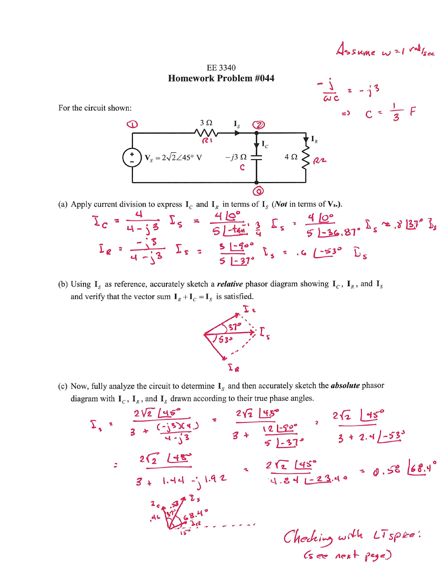Assume w=1 vallse

EE 3340 **Homework Problem #044** 

For the circuit shown:



(a) Apply current division to express  $I_c$  and  $I_R$  in terms of  $I_s$  (*Not* in terms of **V**<sub>s</sub>.).

$$
\Sigma_c = \frac{4}{4-33} \Sigma_s = \frac{41e^{\circ}}{51-4m} \frac{3}{4} \Sigma_s = \frac{41e^{\circ}}{51-36.81^{\circ}} \Sigma_s \approx .8181^{\circ} \Sigma_s
$$
  
 $\Sigma_e = \frac{3}{4-33} \Sigma_s = \frac{51-4e^{\circ}}{51-31^{\circ}} \Sigma_s = .6153^{\circ} \Sigma_s$ 

(b) Using  $I_s$  as reference, accurately sketch a *relative* phasor diagram showing  $I_c$ ,  $I_R$ , and  $I_s$ and verify that the vector sum  $I_R + I_C = I_S$  is satisfied.



(c) Now, fully analyze the circuit to determine  $I_s$  and then accurately sketch the **absolute** phasor diagram with  $I_c$ ,  $I_R$ , and  $I_s$  drawn according to their true phase angles.

$$
\Sigma_{1} = \frac{2\sqrt{2} \left[45^{\circ} \right]}{3 + \left(\frac{1}{3}\right)^{2}} = \frac{2\sqrt{2} \left[45^{\circ} \right]}{3 + \left(\frac{1}{2}\right)^{2}} = \frac{2\sqrt{2} \left[45^{\circ} \right]}{3 + 2.4 \left[-53^{\circ} \right]}
$$
  

$$
= \frac{2\sqrt{2} \left[45^{\circ} \right]}{3 + 1.44 - 1.42} = \frac{2\sqrt{2} \left[45^{\circ} \right]}{4.84 - 23.4^{\circ}} = 0.58 \left[68.4^{\circ} \right]
$$
  

$$
= \frac{2\sqrt{2} \left[45^{\circ} \right]}{4.84 - 23.4^{\circ}} = 0.58 \left[68.4^{\circ} \right]
$$
  

$$
= 0.58 \left[68.4^{\circ} \right]
$$
  
Al 
$$
\Sigma_{1} = 23.4^{\circ} \left[1.46 - 1.42\right] = 0.58 \left[68.4^{\circ} \right]
$$
  
Chedning with  $\sqrt{156} \rho \ge 0$